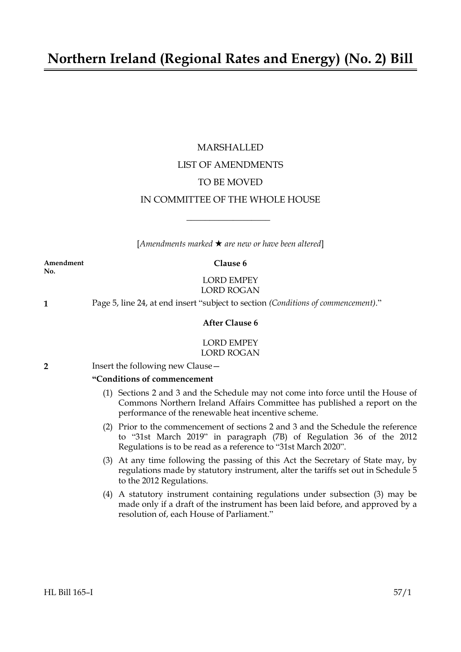## **Northern Ireland (Regional Rates and Energy) (No. 2) Bill**

## MARSHALLED LIST OF AMENDMENTS TO BE MOVED IN COMMITTEE OF THE WHOLE HOUSE

[*Amendments marked* \* *are new or have been altered*]

 $\overline{\phantom{a}}$  , where  $\overline{\phantom{a}}$ 

**Amendment Clause 6 No.**

### LORD EMPEY LORD ROGAN

**1** Page 5, line 24, at end insert "subject to section *(Conditions of commencement)*."

#### **After Clause 6**

#### LORD EMPEY LORD ROGAN

**2** Insert the following new Clause—

#### **"Conditions of commencement**

- (1) Sections 2 and 3 and the Schedule may not come into force until the House of Commons Northern Ireland Affairs Committee has published a report on the performance of the renewable heat incentive scheme.
- (2) Prior to the commencement of sections 2 and 3 and the Schedule the reference to "31st March 2019" in paragraph (7B) of Regulation 36 of the 2012 Regulations is to be read as a reference to "31st March 2020".
- (3) At any time following the passing of this Act the Secretary of State may, by regulations made by statutory instrument, alter the tariffs set out in Schedule 5 to the 2012 Regulations.
- (4) A statutory instrument containing regulations under subsection (3) may be made only if a draft of the instrument has been laid before, and approved by a resolution of, each House of Parliament."